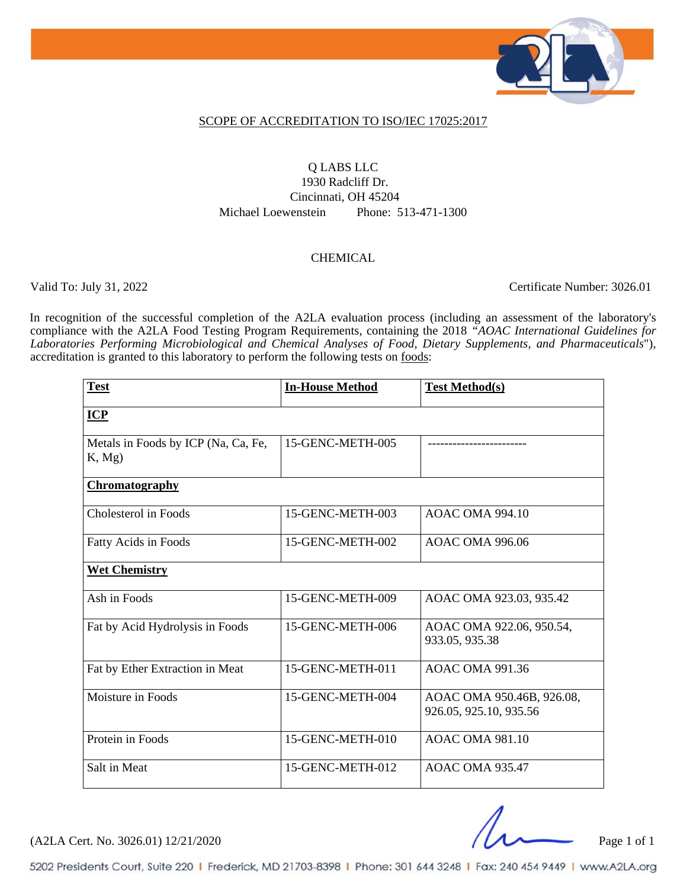

#### SCOPE OF ACCREDITATION TO ISO/IEC 17025:2017

### Q LABS LLC 1930 Radcliff Dr.

Cincinnati, OH 45204 Michael Loewenstein Phone: 513-471-1300

#### **CHEMICAL**

Valid To: July 31, 2022 Certificate Number: 3026.01

In recognition of the successful completion of the A2LA evaluation process (including an assessment of the laboratory's compliance with the A2LA Food Testing Program Requirements, containing the 2018 *"AOAC International Guidelines for Laboratories Performing Microbiological and Chemical Analyses of Food, Dietary Supplements, and Pharmaceuticals*"), accreditation is granted to this laboratory to perform the following tests on foods:

| <b>Test</b>                                  | <b>In-House Method</b> | <b>Test Method(s)</b>                               |
|----------------------------------------------|------------------------|-----------------------------------------------------|
| $ICP$                                        |                        |                                                     |
| Metals in Foods by ICP (Na, Ca, Fe,<br>K, Mg | 15-GENC-METH-005       |                                                     |
| <b>Chromatography</b>                        |                        |                                                     |
| Cholesterol in Foods                         | 15-GENC-METH-003       | <b>AOAC OMA 994.10</b>                              |
| Fatty Acids in Foods                         | 15-GENC-METH-002       | <b>AOAC OMA 996.06</b>                              |
| <b>Wet Chemistry</b>                         |                        |                                                     |
| Ash in Foods                                 | 15-GENC-METH-009       | AOAC OMA 923.03, 935.42                             |
| Fat by Acid Hydrolysis in Foods              | 15-GENC-METH-006       | AOAC OMA 922.06, 950.54,<br>933.05, 935.38          |
| Fat by Ether Extraction in Meat              | 15-GENC-METH-011       | <b>AOAC OMA 991.36</b>                              |
| Moisture in Foods                            | 15-GENC-METH-004       | AOAC OMA 950.46B, 926.08,<br>926.05, 925.10, 935.56 |
| Protein in Foods                             | 15-GENC-METH-010       | <b>AOAC OMA 981.10</b>                              |
| Salt in Meat                                 | 15-GENC-METH-012       | <b>AOAC OMA 935.47</b>                              |

 $(A2LA$  Cert. No. 3026.01) 12/21/2020 Page 1 of 1

5202 Presidents Court, Suite 220 | Frederick, MD 21703-8398 | Phone: 301 644 3248 | Fax: 240 454 9449 | www.A2LA.org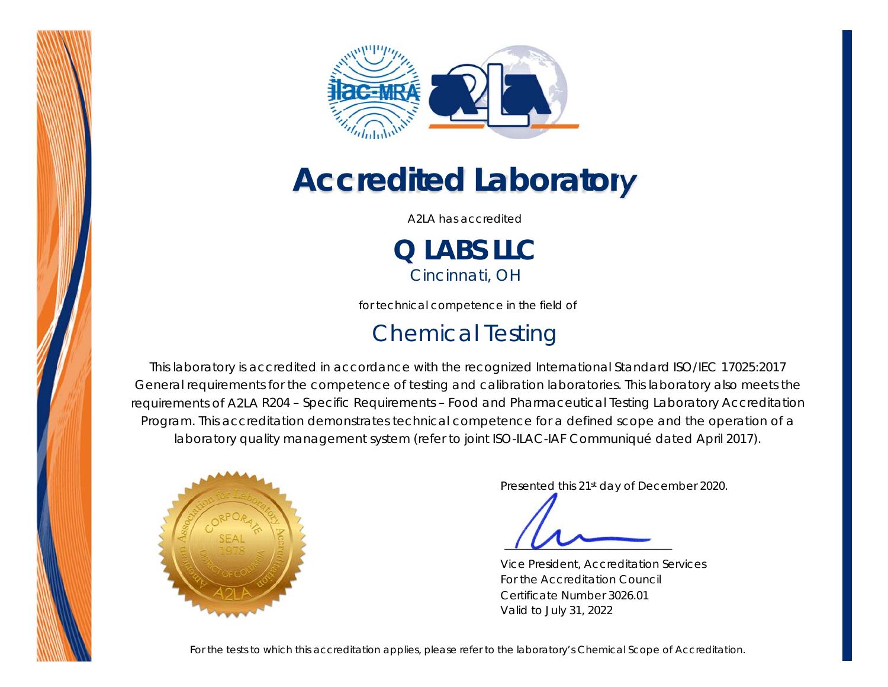



# *Accredited Laboratory*

A2LA has accredited

**Q LABS LLC** *Cincinnati, OH* 

for technical competence in the field of

### Chemical Testing

This laboratory is accredited in accordance with the recognized International Standard ISO/IEC 17025:2017 *General requirements for the competence of testing and calibration laboratories*. This laboratory also meets the requirements of A2LA *R204 – Specific Requirements – Food and Pharmaceutical Testing Laboratory Accreditation Program*. This accreditation demonstrates technical competence for a defined scope and the operation of a laboratory quality management system (*refer to joint ISO-ILAC-IAF Communiqué dated April 2017*).



Presented this 21st day of December 2020.

 *\_\_\_\_\_\_\_\_\_\_\_\_\_\_\_\_\_\_\_\_\_\_\_*

Vice President, Accreditation Services For the Accreditation Council Certificate Number 3026.01 Valid to July 31, 2022

*For the tests to which this accreditation applies, please refer to the laboratory's Chemical Scope of Accreditation.*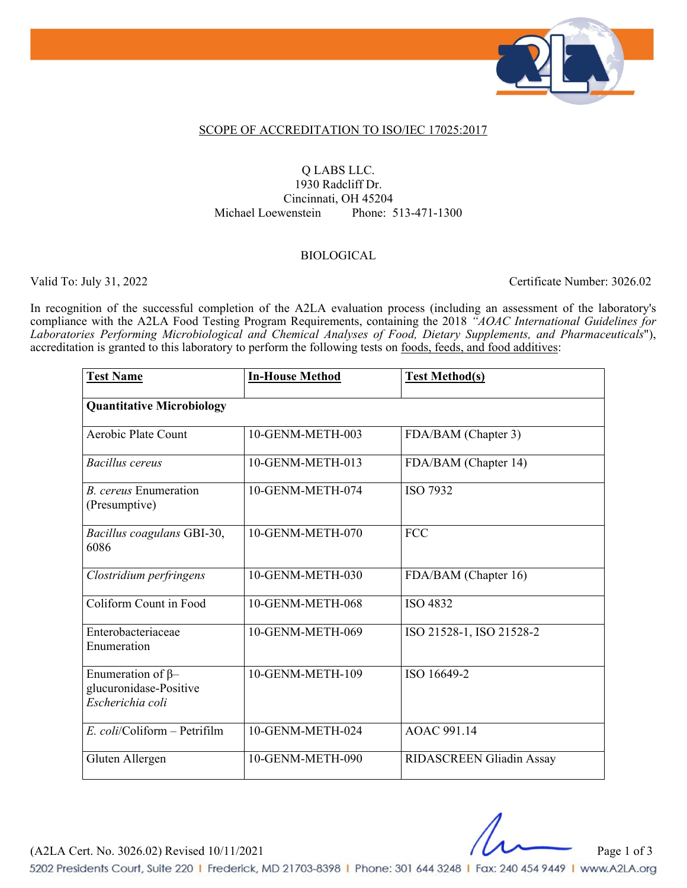

#### SCOPE OF ACCREDITATION TO ISO/IEC 17025:2017

#### Q LABS LLC.

1930 Radcliff Dr. Cincinnati, OH 45204 Michael Loewenstein Phone: 513-471-1300

#### BIOLOGICAL

Valid To: July 31, 2022 Certificate Number: 3026.02

In recognition of the successful completion of the A2LA evaluation process (including an assessment of the laboratory's compliance with the A2LA Food Testing Program Requirements, containing the 2018 *"AOAC International Guidelines for Laboratories Performing Microbiological and Chemical Analyses of Food, Dietary Supplements, and Pharmaceuticals*"), accreditation is granted to this laboratory to perform the following tests on foods, feeds, and food additives:

| <b>Test Name</b>                                                       | <b>In-House Method</b> | <b>Test Method(s)</b>    |  |  |
|------------------------------------------------------------------------|------------------------|--------------------------|--|--|
| <b>Quantitative Microbiology</b>                                       |                        |                          |  |  |
| Aerobic Plate Count                                                    | 10-GENM-METH-003       | FDA/BAM (Chapter 3)      |  |  |
| Bacillus cereus                                                        | 10-GENM-METH-013       | FDA/BAM (Chapter 14)     |  |  |
| <b>B.</b> cereus Enumeration<br>(Presumptive)                          | 10-GENM-METH-074       | <b>ISO 7932</b>          |  |  |
| Bacillus coagulans GBI-30,<br>6086                                     | 10-GENM-METH-070       | <b>FCC</b>               |  |  |
| Clostridium perfringens                                                | 10-GENM-METH-030       | FDA/BAM (Chapter 16)     |  |  |
| Coliform Count in Food                                                 | 10-GENM-METH-068       | ISO 4832                 |  |  |
| Enterobacteriaceae<br>Enumeration                                      | 10-GENM-METH-069       | ISO 21528-1, ISO 21528-2 |  |  |
| Enumeration of $\beta$ -<br>glucuronidase-Positive<br>Escherichia coli | 10-GENM-METH-109       | ISO 16649-2              |  |  |
| $E.$ coli/Coliform – Petrifilm                                         | 10-GENM-METH-024       | AOAC 991.14              |  |  |
| Gluten Allergen                                                        | 10-GENM-METH-090       | RIDASCREEN Gliadin Assay |  |  |

(A2LA Cert. No. 3026.02) Revised 10/11/2021 Page 1 of 3

5202 Presidents Court, Suite 220 | Frederick, MD 21703-8398 | Phone: 301 644 3248 | Fax: 240 454 9449 | www.A2LA.org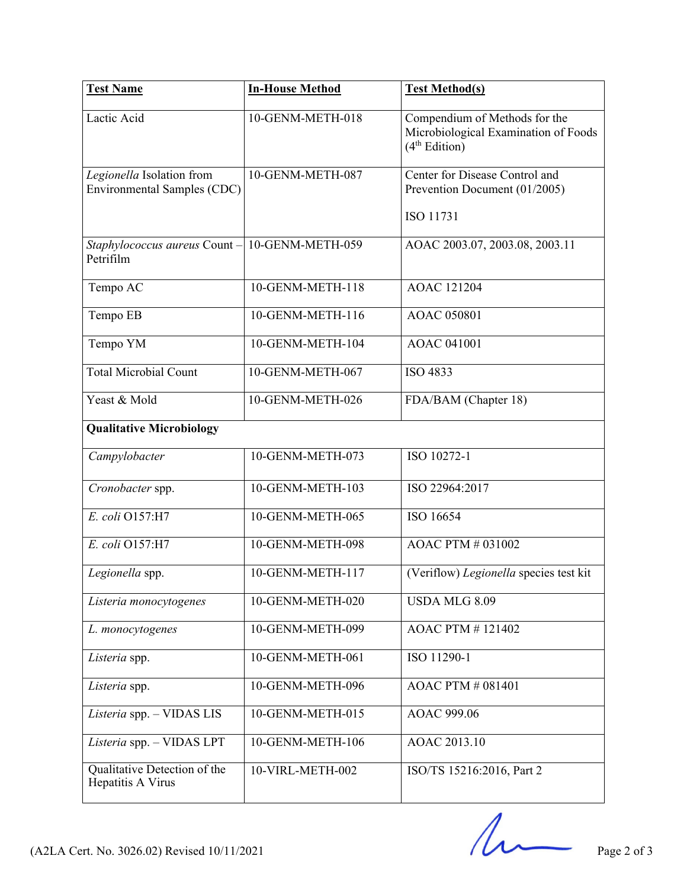| <b>Test Name</b>                                            | <b>In-House Method</b> | <b>Test Method(s)</b>                                                                              |
|-------------------------------------------------------------|------------------------|----------------------------------------------------------------------------------------------------|
| Lactic Acid                                                 | 10-GENM-METH-018       | Compendium of Methods for the<br>Microbiological Examination of Foods<br>(4 <sup>th</sup> Edition) |
| Legionella Isolation from<br>Environmental Samples (CDC)    | 10-GENM-METH-087       | Center for Disease Control and<br>Prevention Document (01/2005)                                    |
|                                                             |                        | ISO 11731                                                                                          |
| Staphylococcus aureus Count - 10-GENM-METH-059<br>Petrifilm |                        | AOAC 2003.07, 2003.08, 2003.11                                                                     |
| Tempo AC                                                    | 10-GENM-METH-118       | <b>AOAC 121204</b>                                                                                 |
| Tempo EB                                                    | 10-GENM-METH-116       | AOAC 050801                                                                                        |
| Tempo YM                                                    | 10-GENM-METH-104       | <b>AOAC 041001</b>                                                                                 |
| <b>Total Microbial Count</b>                                | 10-GENM-METH-067       | ISO 4833                                                                                           |
| Yeast & Mold                                                | 10-GENM-METH-026       | FDA/BAM (Chapter 18)                                                                               |
| <b>Qualitative Microbiology</b>                             |                        |                                                                                                    |
| Campylobacter                                               | 10-GENM-METH-073       | ISO 10272-1                                                                                        |
| Cronobacter spp.                                            | 10-GENM-METH-103       | ISO 22964:2017                                                                                     |
| E. coli O157:H7                                             | 10-GENM-METH-065       | ISO 16654                                                                                          |
| E. coli O157:H7                                             | 10-GENM-METH-098       | AOAC PTM # 031002                                                                                  |
| Legionella spp.                                             | 10-GENM-METH-117       | (Veriflow) Legionella species test kit                                                             |
| Listeria monocytogenes                                      | 10-GENM-METH-020       | USDA MLG 8.09                                                                                      |
| L. monocytogenes                                            | 10-GENM-METH-099       | <b>AOAC PTM #121402</b>                                                                            |
| Listeria spp.                                               | 10-GENM-METH-061       | ISO 11290-1                                                                                        |
| Listeria spp.                                               | 10-GENM-METH-096       | <b>AOAC PTM # 081401</b>                                                                           |
| Listeria spp. - VIDAS LIS                                   | 10-GENM-METH-015       | AOAC 999.06                                                                                        |
| Listeria spp. - VIDAS LPT                                   | 10-GENM-METH-106       | AOAC 2013.10                                                                                       |
| Qualitative Detection of the<br>Hepatitis A Virus           | 10-VIRL-METH-002       | ISO/TS 15216:2016, Part 2                                                                          |

(A2LA Cert. No. 3026.02) Revised 10/11/2021 Page 2 of 3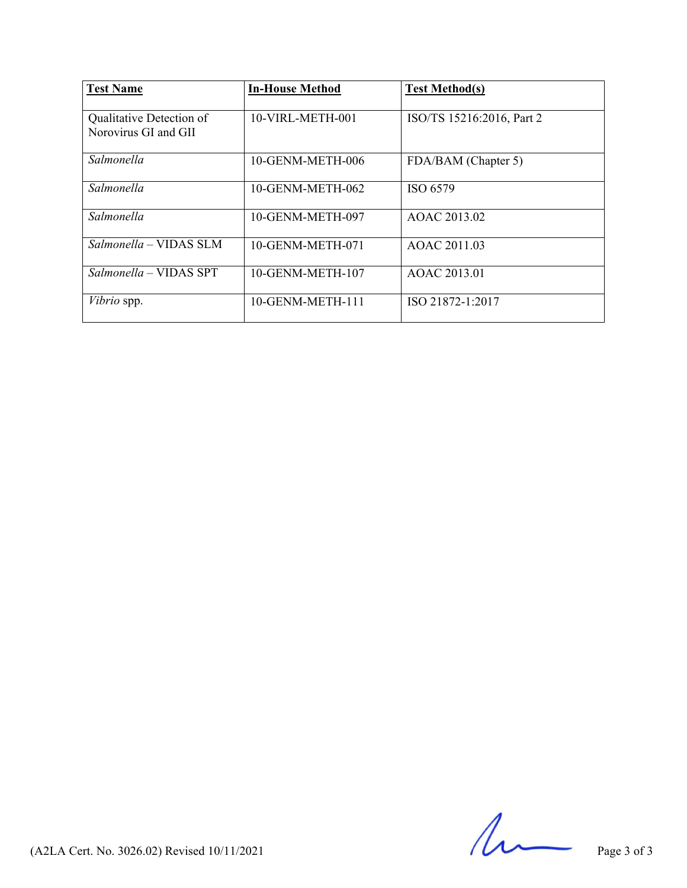| <b>Test Name</b>                                 | <b>In-House Method</b> | <b>Test Method(s)</b>     |
|--------------------------------------------------|------------------------|---------------------------|
| Qualitative Detection of<br>Norovirus GI and GII | 10-VIRL-METH-001       | ISO/TS 15216:2016, Part 2 |
| Salmonella                                       | 10-GENM-METH-006       | FDA/BAM (Chapter 5)       |
| Salmonella                                       | 10-GENM-METH-062       | ISO 6579                  |
| Salmonella                                       | 10-GENM-METH-097       | AOAC 2013.02              |
| Salmonella – VIDAS SLM                           | 10-GENM-METH-071       | AOAC 2011.03              |
| Salmonella – VIDAS SPT                           | 10-GENM-METH-107       | AOAC 2013.01              |
| Vibrio spp.                                      | 10-GENM-METH-111       | ISO 21872-1:2017          |

 $(A2LA$  Cert. No. 3026.02) Revised  $10/11/2021$  Page 3 of 3